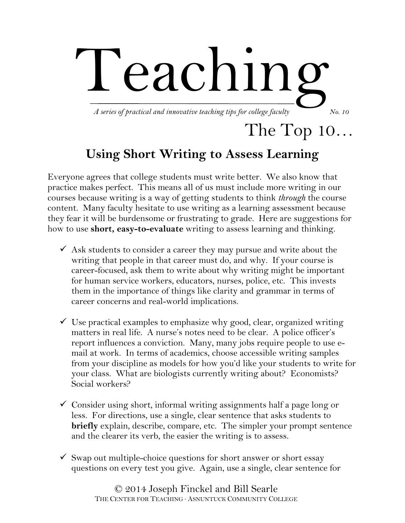

## The Top 10…

## **Using Short Writing to Assess Learning**

Everyone agrees that college students must write better. We also know that practice makes perfect. This means all of us must include more writing in our courses because writing is a way of getting students to think *through* the course content. Many faculty hesitate to use writing as a learning assessment because they fear it will be burdensome or frustrating to grade. Here are suggestions for how to use **short, easy-to-evaluate** writing to assess learning and thinking.

- $\overline{\phantom{a}}$  Ask students to consider a career they may pursue and write about the writing that people in that career must do, and why. If your course is career-focused, ask them to write about why writing might be important for human service workers, educators, nurses, police, etc. This invests them in the importance of things like clarity and grammar in terms of career concerns and real-world implications.
- $\checkmark$  Use practical examples to emphasize why good, clear, organized writing matters in real life. A nurse's notes need to be clear. A police officer's report influences a conviction. Many, many jobs require people to use email at work. In terms of academics, choose accessible writing samples from your discipline as models for how you'd like your students to write for your class. What are biologists currently writing about? Economists? Social workers?
- $\checkmark$  Consider using short, informal writing assignments half a page long or less. For directions, use a single, clear sentence that asks students to **briefly** explain, describe, compare, etc. The simpler your prompt sentence and the clearer its verb, the easier the writing is to assess.
- $\checkmark$  Swap out multiple-choice questions for short answer or short essay questions on every test you give. Again, use a single, clear sentence for

© 2014 Joseph Finckel and Bill Searle THE CENTER FOR TEACHING ∙ ASNUNTUCK COMMUNITY COLLEGE